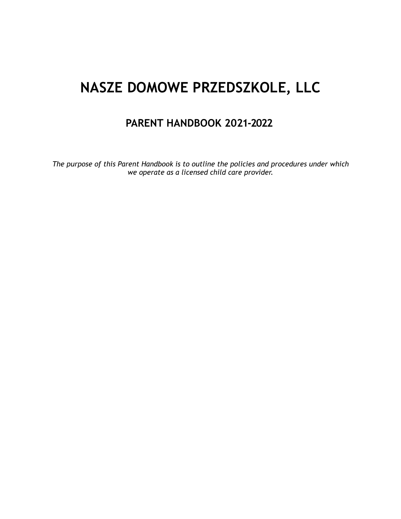# **NASZE DOMOWE PRZEDSZKOLE, LLC**

# **PARENT HANDBOOK 2021-2022**

*The purpose of this Parent Handbook is to outline the policies and procedures under which we operate as a licensed child care provider.*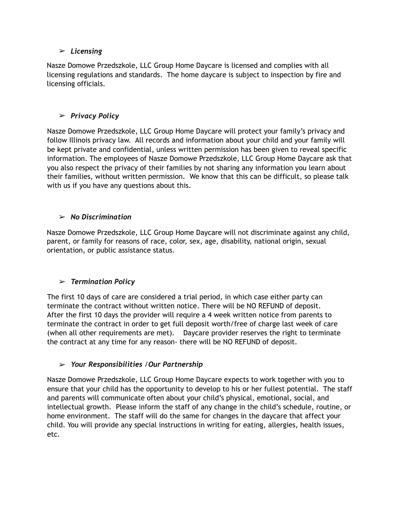#### ➢ *Licensing*

Nasze Domowe Przedszkole, LLC Group Home Daycare is licensed and complies with all licensing regulations and standards. The home daycare is subject to inspection by fire and licensing officials.

# ➢ *Privacy Policy*

Nasze Domowe Przedszkole, LLC Group Home Daycare will protect your family's privacy and follow Illinois privacy law. All records and information about your child and your family will be kept private and confidential, unless written permission has been given to reveal specific information. The employees of Nasze Domowe Przedszkole, LLC Group Home Daycare ask that you also respect the privacy of their families by not sharing any information you learn about their families, without written permission. We know that this can be difficult, so please talk with us if you have any questions about this.

# ➢ *No Discrimination*

Nasze Domowe Przedszkole, LLC Group Home Daycare will not discriminate against any child, parent, or family for reasons of race, color, sex, age, disability, national origin, sexual orientation, or public assistance status.

# ➢ *Termination Policy*

The first 10 days of care are considered a trial period, in which case either party can terminate the contract without written notice. There will be NO REFUND of deposit. After the first 10 days the provider will require a 4 week written notice from parents to terminate the contract in order to get full deposit worth/free of charge last week of care (when all other requirements are met). Daycare provider reserves the right to terminate the contract at any time for any reason- there will be NO REFUND of deposit.

# ➢ *Your Responsibilities* /*Our Partnership*

Nasze Domowe Przedszkole, LLC Group Home Daycare expects to work together with you to ensure that your child has the opportunity to develop to his or her fullest potential. The staff and parents will communicate often about your child's physical, emotional, social, and intellectual growth. Please inform the staff of any change in the child's schedule, routine, or home environment. The staff will do the same for changes in the daycare that affect your child. You will provide any special instructions in writing for eating, allergies, health issues, etc.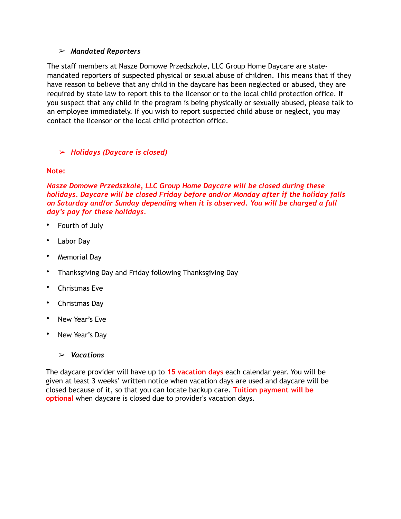#### ➢ *Mandated Reporters*

The staff members at Nasze Domowe Przedszkole, LLC Group Home Daycare are statemandated reporters of suspected physical or sexual abuse of children. This means that if they have reason to believe that any child in the daycare has been neglected or abused, they are required by state law to report this to the licensor or to the local child protection office. If you suspect that any child in the program is being physically or sexually abused, please talk to an employee immediately. If you wish to report suspected child abuse or neglect, you may contact the licensor or the local child protection office.

#### ➢ *Holidays (Daycare is closed)*

#### **Note:**

*Nasze Domowe Przedszkole, LLC Group Home Daycare will be closed during these holidays. Daycare will be closed Friday before and/or Monday after if the holiday falls on Saturday and/or Sunday depending when it is observed. You will be charged a full day's pay for these holidays.* 

- Fourth of July
- Labor Day
- Memorial Day
- Thanksgiving Day and Friday following Thanksgiving Day
- Christmas Eve
- Christmas Day
- New Year's Eve
- New Year's Day
	- ➢ *Vacations*

The daycare provider will have up to **15 vacation days** each calendar year. You will be given at least 3 weeks' written notice when vacation days are used and daycare will be closed because of it, so that you can locate backup care. **Tuition payment will be optional** when daycare is closed due to provider's vacation days.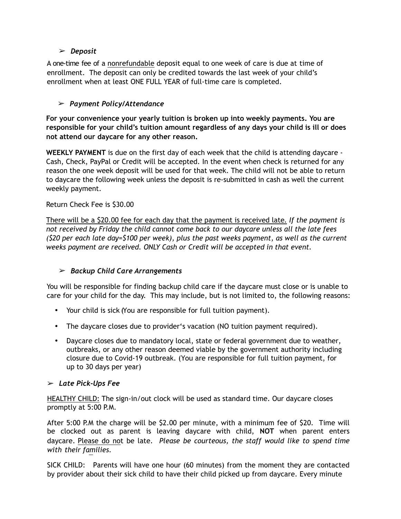#### ➢ *Deposit*

A one-time fee of a nonrefundable deposit equal to one week of care is due at time of enrollment. The deposit can only be credited towards the last week of your child's enrollment when at least ONE FULL YEAR of full-time care is completed.

#### ➢ *Payment Policy/Attendance*

**For your convenience your yearly tuition is broken up into weekly payments. You are responsible for your child's tuition amount regardless of any days your child is ill or does not attend our daycare for any other reason.**

**WEEKLY PAYMENT** is due on the first day of each week that the child is attending daycare - Cash, Check, PayPal or Credit will be accepted. In the event when check is returned for any reason the one week deposit will be used for that week. The child will not be able to return to daycare the following week unless the deposit is re-submitted in cash as well the current weekly payment.

#### Return Check Fee is \$30.00

There will be a \$20.00 fee for each day that the payment is received late*. If the payment is not received by Friday the child cannot come back to our daycare unless all the late fees (\$20 per each late day=\$100 per week), plus the past weeks payment, as well as the current weeks payment are received. ONLY Cash or Credit will be accepted in that event.* 

# ➢ *Backup Child Care Arrangements*

You will be responsible for finding backup child care if the daycare must close or is unable to care for your child for the day. This may include, but is not limited to, the following reasons:

- Your child is sick (You are responsible for full tuition payment).
- The daycare closes due to provider's vacation (NO tuition payment required).
- Daycare closes due to mandatory local, state or federal government due to weather, outbreaks, or any other reason deemed viable by the government authority including closure due to Covid-19 outbreak. (You are responsible for full tuition payment, for up to 30 days per year)

#### ➢ *Late Pick-Ups Fee*

HEALTHY CHILD: The sign-in/out clock will be used as standard time. Our daycare closes promptly at 5:00 P.M.

After 5:00 P.M the charge will be \$2.00 per minute, with a minimum fee of \$20. Time will be clocked out as parent is leaving daycare with child, **NOT** when parent enters daycare. Please do not be late. *Please be courteous, the staff would like to spend time with their families.*

SICK CHILD: Parents will have one hour (60 minutes) from the moment they are contacted by provider about their sick child to have their child picked up from daycare. Every minute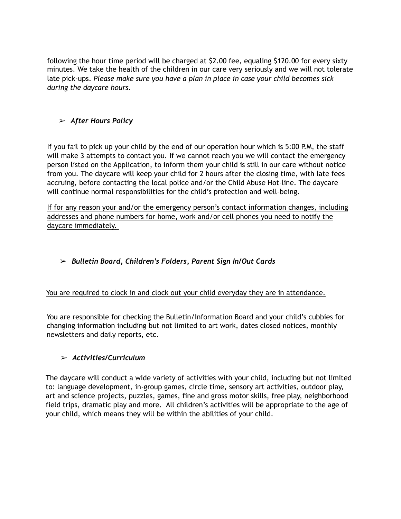following the hour time period will be charged at \$2.00 fee, equaling \$120.00 for every sixty minutes. We take the health of the children in our care very seriously and we will not tolerate late pick-ups. *Please make sure you have a plan in place in case your child becomes sick during the daycare hours.* 

# ➢ *After Hours Policy*

If you fail to pick up your child by the end of our operation hour which is 5:00 P.M, the staff will make 3 attempts to contact you. If we cannot reach you we will contact the emergency person listed on the Application, to inform them your child is still in our care without notice from you. The daycare will keep your child for 2 hours after the closing time, with late fees accruing, before contacting the local police and/or the Child Abuse Hot-line. The daycare will continue normal responsibilities for the child's protection and well-being.

If for any reason your and/or the emergency person's contact information changes, including addresses and phone numbers for home, work and/or cell phones you need to notify the daycare immediately.

# ➢ *Bulletin Board, Children's Folders, Parent Sign In/Out Cards*

# You are required to clock in and clock out your child everyday they are in attendance.

You are responsible for checking the Bulletin/Information Board and your child's cubbies for changing information including but not limited to art work, dates closed notices, monthly newsletters and daily reports, etc.

# ➢ *Activities/Curriculum*

The daycare will conduct a wide variety of activities with your child, including but not limited to: language development, in-group games, circle time, sensory art activities, outdoor play, art and science projects, puzzles, games, fine and gross motor skills, free play, neighborhood field trips, dramatic play and more. All children's activities will be appropriate to the age of your child, which means they will be within the abilities of your child.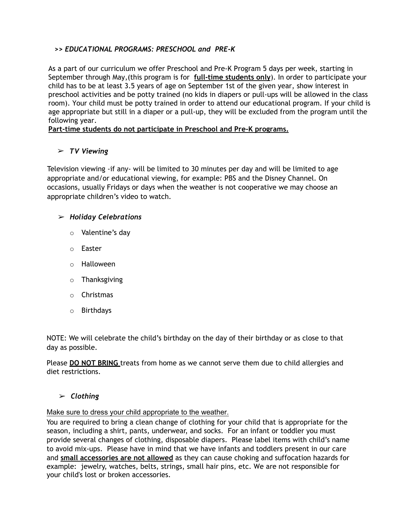# **>>** *EDUCATIONAL PROGRAMS: PRESCHOOL and PRE-K*

As a part of our curriculum we offer Preschool and Pre-K Program 5 days per week, starting in September through May,(this program is for **full-time students only**). In order to participate your child has to be at least 3.5 years of age on September 1st of the given year, show interest in preschool activities and be potty trained (no kids in diapers or pull-ups will be allowed in the class room). Your child must be potty trained in order to attend our educational program. If your child is age appropriate but still in a diaper or a pull-up, they will be excluded from the program until the following year.

#### **Part-time students do not participate in Preschool and Pre-K programs.**

# ➢ *TV Viewing*

Television viewing -if any- will be limited to 30 minutes per day and will be limited to age appropriate and/or educational viewing, for example: PBS and the Disney Channel. On occasions, usually Fridays or days when the weather is not cooperative we may choose an appropriate children's video to watch.

#### ➢ *Holiday Celebrations*

- o Valentine's day
- o Easter
- o Halloween
- o Thanksgiving
- o Christmas
- o Birthdays

NOTE: We will celebrate the child's birthday on the day of their birthday or as close to that day as possible.

Please **DO NOT BRING** treats from home as we cannot serve them due to child allergies and diet restrictions.

#### ➢ *Clothing*

#### Make sure to dress your child appropriate to the weather.

You are required to bring a clean change of clothing for your child that is appropriate for the season, including a shirt, pants, underwear, and socks. For an infant or toddler you must provide several changes of clothing, disposable diapers. Please label items with child's name to avoid mix-ups. Please have in mind that we have infants and toddlers present in our care and **small accessories are not allowed** as they can cause choking and suffocation hazards for example: jewelry, watches, belts, strings, small hair pins, etc. We are not responsible for your child's lost or broken accessories.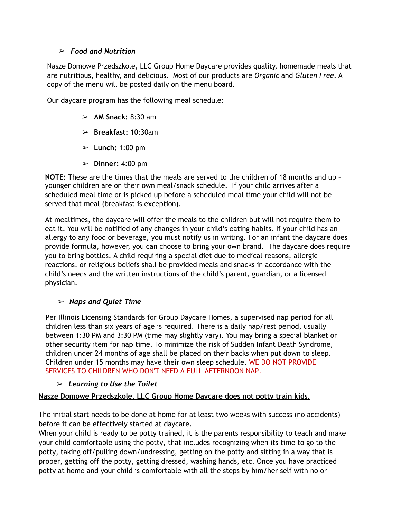#### ➢ *Food and Nutrition*

Nasze Domowe Przedszkole, LLC Group Home Daycare provides quality, homemade meals that are nutritious, healthy, and delicious. Most of our products are *Organic* and *Gluten Free*. A copy of the menu will be posted daily on the menu board.

Our daycare program has the following meal schedule:

- ➢ **AM Snack:** 8:30 am
- ➢ **Breakfast:** 10:30am
- ➢ **Lunch:** 1:00 pm
- ➢ **Dinner:** 4:00 pm

**NOTE:** These are the times that the meals are served to the children of 18 months and up – younger children are on their own meal/snack schedule. If your child arrives after a scheduled meal time or is picked up before a scheduled meal time your child will not be served that meal (breakfast is exception).

At mealtimes, the daycare will offer the meals to the children but will not require them to eat it. You will be notified of any changes in your child's eating habits. If your child has an allergy to any food or beverage, you must notify us in writing. For an infant the daycare does provide formula, however, you can choose to bring your own brand. The daycare does require you to bring bottles. A child requiring a special diet due to medical reasons, allergic reactions, or religious beliefs shall be provided meals and snacks in accordance with the child's needs and the written instructions of the child's parent, guardian, or a licensed physician.

# ➢ *Naps and Quiet Time*

Per Illinois Licensing Standards for Group Daycare Homes, a supervised nap period for all children less than six years of age is required. There is a daily nap/rest period, usually between 1:30 PM and 3:30 PM (time may slightly vary). You may bring a special blanket or other security item for nap time. To minimize the risk of Sudden Infant Death Syndrome, children under 24 months of age shall be placed on their backs when put down to sleep. Children under 15 months may have their own sleep schedule. WE DO NOT PROVIDE SERVICES TO CHILDREN WHO DON'T NEED A FULL AFTERNOON NAP.

# ➢ *Learning to Use the Toilet*

# **Nasze Domowe Przedszkole, LLC Group Home Daycare does not potty train kids.**

The initial start needs to be done at home for at least two weeks with success (no accidents) before it can be effectively started at daycare.

When your child is ready to be potty trained, it is the parents responsibility to teach and make your child comfortable using the potty, that includes recognizing when its time to go to the potty, taking off/pulling down/undressing, getting on the potty and sitting in a way that is proper, getting off the potty, getting dressed, washing hands, etc. Once you have practiced potty at home and your child is comfortable with all the steps by him/her self with no or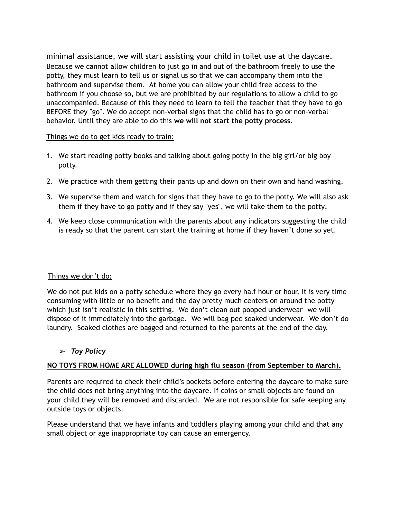minimal assistance, we will start assisting your child in toilet use at the daycare. Because we cannot allow children to just go in and out of the bathroom freely to use the potty, they must learn to tell us or signal us so that we can accompany them into the bathroom and supervise them. At home you can allow your child free access to the bathroom if you choose so, but we are prohibited by our regulations to allow a child to go unaccompanied. Because of this they need to learn to tell the teacher that they have to go BEFORE they "go". We do accept non-verbal signs that the child has to go or non-verbal behavior. Until they are able to do this **we will not start the potty process**.

#### Things we do to get kids ready to train:

- 1. We start reading potty books and talking about going potty in the big girl/or big boy potty.
- 2. We practice with them getting their pants up and down on their own and hand washing.
- 3. We supervise them and watch for signs that they have to go to the potty. We will also ask them if they have to go potty and if they say "yes", we will take them to the potty.
- 4. We keep close communication with the parents about any indicators suggesting the child is ready so that the parent can start the training at home if they haven't done so yet.

#### Things we don't do:

We do not put kids on a potty schedule where they go every half hour or hour. It is very time consuming with little or no benefit and the day pretty much centers on around the potty which just isn't realistic in this setting. We don't clean out pooped underwear- we will dispose of it immediately into the garbage. We will bag pee soaked underwear. We don't do laundry. Soaked clothes are bagged and returned to the parents at the end of the day.

# ➢ *Toy Policy*

# **NO TOYS FROM HOME ARE ALLOWED during high flu season (from September to March).**

Parents are required to check their child's pockets before entering the daycare to make sure the child does not bring anything into the daycare. If coins or small objects are found on your child they will be removed and discarded. We are not responsible for safe keeping any outside toys or objects.

Please understand that we have infants and toddlers playing among your child and that any small object or age inappropriate toy can cause an emergency.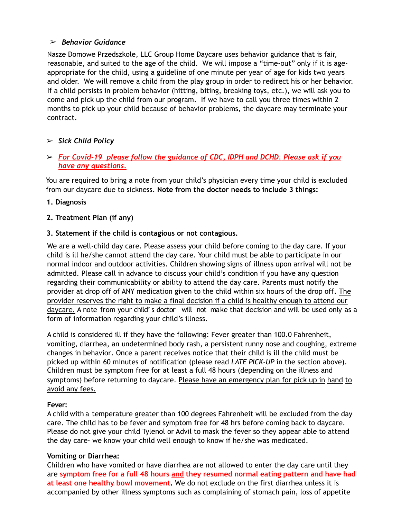#### ➢ *Behavior Guidance*

Nasze Domowe Przedszkole, LLC Group Home Daycare uses behavior guidance that is fair, reasonable, and suited to the age of the child. We will impose a "time-out" only if it is ageappropriate for the child, using a guideline of one minute per year of age for kids two years and older. We will remove a child from the play group in order to redirect his or her behavior. If a child persists in problem behavior (hitting, biting, breaking toys, etc.), we will ask you to come and pick up the child from our program. If we have to call you three times within 2 months to pick up your child because of behavior problems, the daycare may terminate your contract.

# ➢ *Sick Child Policy*

➢ *For Covid-19 please follow the guidance of CDC, IDPH and DCHD. Please ask if you have any questions.*

You are required to bring a note from your child's physician every time your child is excluded from our daycare due to sickness. **Note from the doctor needs to include 3 things:**

**1. Diagnosis**

#### **2. Treatment Plan (if any)**

#### **3. Statement if the child is contagious or not contagious.**

We are a well-child day care. Please assess your child before coming to the day care. If your child is ill he/she cannot attend the day care. Your child must be able to participate in our normal indoor and outdoor activities. Children showing signs of illness upon arrival will not be admitted. Please call in advance to discuss your child's condition if you have any question regarding their communicability or ability to attend the day care. Parents must notify the provider at drop off of ANY medication given to the child within six hours of the drop off**.** The provider reserves the right to make a final decision if a child is healthy enough to attend our daycare. A note from your child' s doctor will not make that decision and will be used only as a form of information regarding your child's illness.

A child is considered ill if they have the following: Fever greater than 100.0 Fahrenheit, vomiting, diarrhea, an undetermined body rash, a persistent runny nose and coughing, extreme changes in behavior. Once a parent receives notice that their child is ill the child must be picked up within 60 minutes of notification (please read *LATE PICK-UP* in the section above). Children must be symptom free for at least a full 48 hours (depending on the illness and symptoms) before returning to daycare. Please have an emergency plan for pick up in hand to avoid any fees.

#### **Fever:**

A child with a temperature greater than 100 degrees Fahrenheit will be excluded from the day care. The child has to be fever and symptom free for 48 hrs before coming back to daycare. Please do not give your child Tylenol or Advil to mask the fever so they appear able to attend the day care- we know your child well enough to know if he/she was medicated.

#### **Vomiting or Diarrhea:**

Children who have vomited or have diarrhea are not allowed to enter the day care until they are **symptom free for a full 48 hours and they resumed normal eating pattern and have had at least one healthy bowl movement.** We do not exclude on the first diarrhea unless it is accompanied by other illness symptoms such as complaining of stomach pain, loss of appetite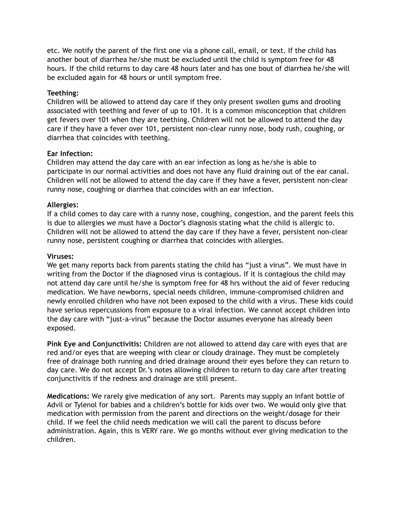etc. We notify the parent of the first one via a phone call, email, or text. If the child has another bout of diarrhea he/she must be excluded until the child is symptom free for 48 hours. If the child returns to day care 48 hours later and has one bout of diarrhea he/she will be excluded again for 48 hours or until symptom free.

#### **Teething:**

Children will be allowed to attend day care if they only present swollen gums and drooling associated with teething and fever of up to 101. It is a common misconception that children get fevers over 101 when they are teething. Children will not be allowed to attend the day care if they have a fever over 101, persistent non-clear runny nose, body rush, coughing, or diarrhea that coincides with teething.

#### **Ear Infection:**

Children may attend the day care with an ear infection as long as he/she is able to participate in our normal activities and does not have any fluid draining out of the ear canal. Children will not be allowed to attend the day care if they have a fever, persistent non-clear runny nose, coughing or diarrhea that coincides with an ear infection.

#### **Allergies:**

If a child comes to day care with a runny nose, coughing, congestion, and the parent feels this is due to allergies we must have a Doctor's diagnosis stating what the child is allergic to. Children will not be allowed to attend the day care if they have a fever, persistent non-clear runny nose, persistent coughing or diarrhea that coincides with allergies.

#### **Viruses:**

We get many reports back from parents stating the child has "just a virus". We must have in writing from the Doctor if the diagnosed virus is contagious. If it is contagious the child may not attend day care until he/she is symptom free for 48 hrs without the aid of fever reducing medication. We have newborns, special needs children, immune-compromised children and newly enrolled children who have not been exposed to the child with a virus. These kids could have serious repercussions from exposure to a viral infection. We cannot accept children into the day care with "just-a-virus" because the Doctor assumes everyone has already been exposed.

**Pink Eye and Conjunctivitis:** Children are not allowed to attend day care with eyes that are red and/or eyes that are weeping with clear or cloudy drainage. They must be completely free of drainage both running and dried drainage around their eyes before they can return to day care. We do not accept Dr.'s notes allowing children to return to day care after treating conjunctivitis if the redness and drainage are still present.

**Medications:** We rarely give medication of any sort. Parents may supply an infant bottle of Advil or Tylenol for babies and a children's bottle for kids over two. We would only give that medication with permission from the parent and directions on the weight/dosage for their child. If we feel the child needs medication we will call the parent to discuss before administration. Again, this is VERY rare. We go months without ever giving medication to the children.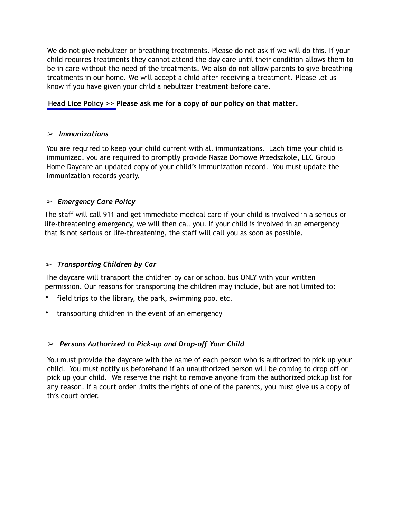We do not give nebulizer or breathing treatments. Please do not ask if we will do this. If your child requires treatments they cannot attend the day care until their condition allows them to be in care without the need of the treatments. We also do not allow parents to give breathing treatments in our home. We will accept a child after receiving a treatment. Please let us know if you have given your child a nebulizer treatment before care.

#### **Head Lice Policy >> Please ask me for a copy of our policy on that matter.**

#### ➢ *Immunizations*

You are required to keep your child current with all immunizations. Each time your child is immunized, you are required to promptly provide Nasze Domowe Przedszkole, LLC Group Home Daycare an updated copy of your child's immunization record. You must update the immunization records yearly.

# ➢ *Emergency Care Policy*

The staff will call 911 and get immediate medical care if your child is involved in a serious or life-threatening emergency, we will then call you. If your child is involved in an emergency that is not serious or life-threatening, the staff will call you as soon as possible.

# ➢ *Transporting Children by Car*

The daycare will transport the children by car or school bus ONLY with your written permission. Our reasons for transporting the children may include, but are not limited to:

- field trips to the library, the park, swimming pool etc.
- transporting children in the event of an emergency

# ➢ *Persons Authorized to Pick-up and Drop-off Your Child*

You must provide the daycare with the name of each person who is authorized to pick up your child. You must notify us beforehand if an unauthorized person will be coming to drop off or pick up your child. We reserve the right to remove anyone from the authorized pickup list for any reason. If a court order limits the rights of one of the parents, you must give us a copy of this court order.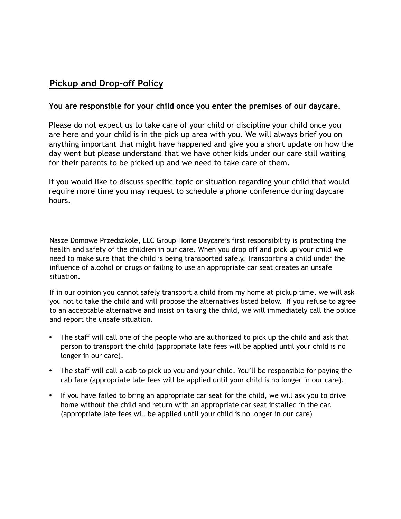# **Pickup and Drop-off Policy**

#### **You are responsible for your child once you enter the premises of our daycare.**

Please do not expect us to take care of your child or discipline your child once you are here and your child is in the pick up area with you. We will always brief you on anything important that might have happened and give you a short update on how the day went but please understand that we have other kids under our care still waiting for their parents to be picked up and we need to take care of them.

If you would like to discuss specific topic or situation regarding your child that would require more time you may request to schedule a phone conference during daycare hours.

Nasze Domowe Przedszkole, LLC Group Home Daycare's first responsibility is protecting the health and safety of the children in our care. When you drop off and pick up your child we need to make sure that the child is being transported safely. Transporting a child under the influence of alcohol or drugs or failing to use an appropriate car seat creates an unsafe situation.

If in our opinion you cannot safely transport a child from my home at pickup time, we will ask you not to take the child and will propose the alternatives listed below. If you refuse to agree to an acceptable alternative and insist on taking the child, we will immediately call the police and report the unsafe situation.

- The staff will call one of the people who are authorized to pick up the child and ask that person to transport the child (appropriate late fees will be applied until your child is no longer in our care).
- The staff will call a cab to pick up you and your child. You'll be responsible for paying the cab fare (appropriate late fees will be applied until your child is no longer in our care).
- If you have failed to bring an appropriate car seat for the child, we will ask you to drive home without the child and return with an appropriate car seat installed in the car. (appropriate late fees will be applied until your child is no longer in our care)